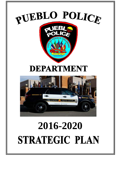

# **STRATEGIC PLAN**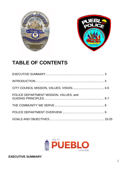



# **TABLE OF CONTENTS**

| POLICE DEPARTMENT MISSION, VALUES. and |  |
|----------------------------------------|--|
|                                        |  |
|                                        |  |
|                                        |  |

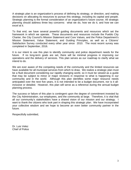A strategic plan is an organization's process of defining its [strategy,](http://en.wikipedia.org/wiki/Strategy) or direction, and making decisions on allocating its resources to pursue this strategy, including its capital and people. Strategic planning is the formal consideration of an organization's future course. All strategic planning should address three key concerns: what we do, how we do it, and how we can excel at it.

To that end, we have several powerful guiding documents and resources which set the framework in which we operate. These documents and resources include the Pueblo City Charter, the City Council's Mission Statement and Core Values, and the Police Department's Mission Statement, Value Statement, and Guiding Principles, as well as a Citizens' Satisfaction Survey conducted every other year since 2010. The most recent survey was completed in September, 2016.

It is our intent to use this plan to identify community and police department needs for the future. If no long-term goals are set, there will be minimal progress in improving our operations and the delivery of services. This plan serves as our roadmap to clarify what we intend to do.

We are ever aware of the competing needs of the community and the limited resources we have available for all municipal services from which to draw. We realize a strategic plan must be a fluid document considering our rapidly changing world, so it must be viewed as a guide that may be subject to minor or major revisions in response to what is happening in our community and in the world. Although this plan identifies some major resource needs anticipated over the next five years, it is not intended to be a budget document, nor is it allinclusive or detailed. However, this plan will serve as a reference during the annual budget planning process.

The success or failure of this plan is contingent upon the degree of commitment invested by the City Administration, our employees, and the community at large. Therefore, it is vital that all our community's stakeholders have a shared vision of our mission and our strategy. I want to thank the citizens who took part in shaping this strategic plan. We have incorporated your collective wisdom and we hope to become an even better community partner in the future.

Respectfully submitted,

Dr. Luis Velez Chief of Police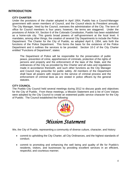## **INTRODUCTION**

## **CITY CHARTER**

Under the provisions of the charter adopted in April 1954, Pueblo has a Council-Manager government with seven members of Council, and the Council elects its President annually. The City Manager, hired by the Council, oversees the administration of the City. The term of office for Council members is four years; however, the terms are staggered. Under the provisions of Article XX, Section 6 of the Colorado Constitution, Pueblo has been established as a home-rule city. This grants broad powers of self-government at the local level. It mandates, among other things, the creation of several City Departments to include the Police Department. The Charter for the City of Pueblo, as adopted April 6, 1954, sets forth the functions of the Police Department. This forms the basis for the existence of the Police Department and it outlines the services to be provided. Section 10-2 of the City Charter entitled "Functions of Department", states:

The Department of Police will be responsible for the preservation of public peace, prevention of crime, apprehension of criminals, protection of the rights of persons and property and the enforcement of the laws of the State, and the ordinances of the City as provided by this Charter and all rules and regulations made in accordance therewith, and such other functions as the City Manager and Council may prescribe for public safety. All members of the Department shall have all powers with respect to the service of criminal process and the enforcement of criminal laws as are vested in police officers by the general statutes.

## **CITY COUNCIL**

The Pueblo City Council held several meetings during 2012 to discuss goals and objectives for the City of Pueblo. From these meetings, a Mission Statement and a list of Core Values were adopted by the City Council to create an esteemed public service character for the City of Pueblo. The Council established the following:



## *Mission Statement*

We, the City of Pueblo, representing a community of diverse culture, character, and history:

- commit to upholding the City Charter, all City Ordinances, and the highest standards of conduct;
- commit to promoting and enhancing the well being and quality of life for Pueblo's residents, visitors, and businesses by providing excellent services in an efficient, respectful, and courteous manner;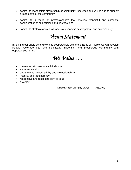- commit to responsible stewardship of community resources and values and to support all segments of the community;
- commit to a model of professionalism that ensures respectful and complete consideration of all decisions and decrees; and
- commit to strategic growth, all facets of economic development, and sustainability.

## *Vision Statement*

By uniting our energies and working cooperatively with the citizens of Pueblo, we will develop Pueblo, Colorado into one significant, influential, and prosperous community with opportunities for all.



- the resourcefulness of each individual
- entrepreneurship
- departmental accountability and professionalism
- integrity and transparency
- responsive and respectful service to all
- diversity

*Adopted by the Pueblo City Council May 2012*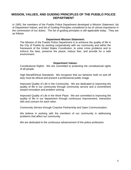## **MISSION, VALUES, AND GUIDING PRINCIPLES OF THE PUEBLO POLICE DEPARTMENT**

In 1993, the members of the Pueblo Police Department developed a Mission Statement, list of Department Values, and list of Guiding Principles considered to be of utmost importance in the commission of our duties. The list of guiding principles is still applicable today. They are as follows:

#### **Department Mission Statement:**

The Mission of the Pueblo Police Department is to enhance the quality of life in the City of Pueblo by working cooperatively with our community and within the framework of the United States Constitution, to solve crime problems and to enforce the laws, preserve the peace, reduce fear, and provide for a safe environment.

## **Department Values:**

Constitutional Rights: We are committed to protecting the constitutional rights of all people.

High Moral/Ethical Standards: We recognize that our behavior both on and off duty must be ethical and present a professional public image.

Improved Quality of Life in the Community: We are dedicated to improving the quality of life in our community through community service and a commitment toward innovation and problem solving.

Improved Quality of Life in the Work Place: We are committed to improving the quality of life in our department through continuous improvement, interaction with and concern for each other.

Community Service through Coactive Partnership and Open Communication.

We believe in working with the members of our community in addressing problems that affect our community.

We are dedicated to the continuous advancement of the police profession.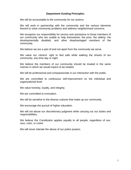## **Department Guiding Principles:**

We will be accountable to the community for our actions.

We will work in partnership with the community and the various elements thereof to solve community problems and address neighborhood concerns.

We recognize our responsibility for service and assistance to those members of our community who are unable to help themselves; the poor, the elderly, the developmentally disabled, and other disadvantaged members of the community.

We believe we are a part of and not apart from the community we serve.

We value our citizens' right to feel safe while walking the streets of our community, any time day or night.

We believe the members of our community should be treated in the same manner in which we would expect to be treated.

We will be professional and compassionate in our interaction with the public.

We are committed to continuous self-improvement on the individual and organizational level.

We value honesty, loyalty, and integrity.

We are committed to innovation.

We will be sensitive to the diverse cultures that make up our community.

We encourage the pursuit of higher education.

We will not abuse our discretionary judgment while carrying out our duties and responsibilities.

We believe the Constitution applies equally to all people, regardless of sex, race, color, or creed.

We will never tolerate the abuse of our police powers.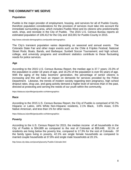## **THE COMMUNITY WE SERVE**

## **Population**

Pueblo is the major provider of employment, housing, and services for all of Pueblo County, therefore population considerations for the provision of services must take into account the immediate surrounding area, which includes Pueblo West and its citizens who predominantly work, shop, and recreate in the City of Pueblo. The 2015 U.S. Census Bureau reports an estimated population of 109,412 for the City and 163,591 for Pueblo County in 2015.

http://www.colorado-demographics.com/pueblo-demographics

The City's transient population varies depending on seasonal and annual events. The Colorado State Fair and other major events such as the Chile & Frijoles Festival; National Street Rods; Boats, Bands, and Barbeque; Sunbelt Soccer Tournament; and high school, college, and university programs and enrollment statistics contribute to these fluctuating needs for police services.

#### **Age**

According to the 2015 U.S. Census Bureau Report, the median age is 37.7 years; 23.3% of the population is under 18 years of age, and 16.2% of the population is over 65 years of age. With the aging of the baby boomers' generation, the percentage of senior citizens is increasing and this will have an impact on demands for services provided by the Police Department. Likewise, the trends of modern society regarding teen pregnancy, high school dropout rates, drug use, and gang activity demand a higher level of services than in the past, directed at protecting and serving the needs of our youth within the community.

https://datausa.io/profile/geo/pueblo-co/#demographics

#### **Race**

According to the 2015 U.S. Census Bureau Report, the City of Pueblo is comprised of 50.7% Hispanic or Latino, 44% White Non-Hispanic residents, 2.1% Black, 0.8% Asian, 0.5% Native American, and less than 1% for other races.

https://datausa.io/profile/geo/pueblo-co/#demographics

#### **Poverty**

According to the U.S. Census Report for 2015, the median income of all households in the City of Pueblo is \$34,889 as compared to the rest of Colorado at \$59,448. 32.1% of residents are living below the poverty line, compared to 17.3% for the rest of Colorado. Of the family types living in poverty, 42.1% are single female households as compared to married couple households at 37.8% and single male households at 20.1%.

http://www.city-data.com/poverty/poverty-Pueblo-Colorado.html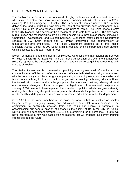## **POLICE DEPARTMENT OVERVIEW**

The Pueblo Police Department is comprised of highly professional and dedicated members who strive to protect and serve our community, handling 402,248 phone calls in 2015, including 110,908 emergency 911 calls. The Department operates under a \$27.7 million dollar budget and is structured now along the lines of two bureaus, each commanded by a Deputy Chief of Police who reports directly to the Chief of Police. The Chief reports directly to the City Manager who serves at the direction of the Pueblo City Council. The two police bureau duties and responsibilities are delineated according to three major service objectives: Operations, Investigations, and Support Services. Authorized staffing for the Department consists of 207 sworn officers and 66 civilian employees, plus approximately 30 temporary/part-time employees. The Police Department operates out of the Pueblo Municipal Justice Center at 200 South Main Street and one neighborhood police satellite which is located at 731 East Fourth Street.

Except for management and temporary employees, two unions, the International Brotherhood of Police Officers (IBPO) Local 537 and the Pueblo Association of Government Employees (PAGE), represent the employees. Both unions have collective bargaining agreements with the City of Pueblo.

The Police Department is committed to providing the highest level of service to the community in an efficient and effective manner. We are dedicated to working cooperatively with the community to achieve our goals of protecting and serving each person equitably and fairly. We are living in times of rapid change, with expanding technological capabilities, intertwined with threats and challenges posed by economic, cultural, ideological, and environmental changes. As an example, the legalization of recreational marijuana in January, 2014, seems to have impacted the homeless population which has grown steadily and significantly during the past several years; the demands for police services based on mental health and drug related issues have also created added pressure for the department.

Over 60.3% of the sworn members of the Police Department hold at least an Associates Degree, and yet, on-going training and education remain vital to our success. The commitment to continually develop, train, and equip our people is paramount to accomplishing our general mission of enhancing the quality of life in the City of Pueblo. During 2015 the department provided 19,612 hours of training for all personnel. In 2016 we have incorporated a new web-based training platform that will enhance our current training capabilities into the future.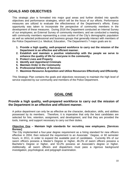## **GOALS AND OBJECTIVES**

This strategic plan is formatted into major goal areas and further divided into specific objectives and performance strategies, which will be the focus of our efforts. Performance measures are utilized to evaluate the effectiveness of the Department's efforts. Every opportunity was taken to incorporate the perspective of community members in the development of these measures. During 2016 the Department conducted an Internal Survey of our employees; an External Survey of community members; and we conducted a meeting with community members representing a cross section of the City's demographic population as well as selected professional and business groups that generally interact with members of the Police Department (i.e. Medical, Education, The Department's 7 major goals are to:

- **1. Provide a high quality, well-prepared workforce to carry out the mission of the Department in an effective and efficient manner.**
- **2. Establish and maintain a positive relationship with the people we serve to enhance the quality of life for everyone in the community.**
- **3. Protect Lives and Property**
- **4. Identify and Apprehend Criminals**
- **5. Maintain Order in the Community**
- **6. Professional Delivery of Services**
- **7. Maximize Resource Acquisition and Utilize Resources Effectively and Efficiently**

This Strategic Plan contains the goals and objectives necessary to maintain the high level of service expected by our community and members of the Police Department.

## **GOAL ONE**

## **Provide a high quality, well-prepared workforce to carry out the mission of the Department in an effective and efficient manner.**

A police department can only be as effective as the character, dedication, skills, and abilities possessed by its members. Therefore, it is imperative that only the best candidates are selected for hire, retention, assignment, and development, and that they are provided the tools, training, and support necessary to carry out their duties.

## **Objective One – Maintain high standards for recruiting new employees. [Services Bureau]**

The City implemented a four-year degree requirement as a hiring standard for new officers effective in 2004, then reduced the requirement to an Associate ' Degree, or 60 semester hours, in 2011, in order to expand the available pool of candidates. Currently 6% of our sworn officers possess a Master's Degree or higher, 46.2% of sworn officers possess a Bachelor's Degree or higher, and 53.2% possess an Associate's degree or higher. Additionally, all sworn officers and dispatchers must pass a rigorous background investigation, psychological, and polygraph examination.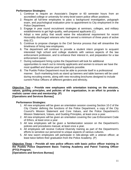## **Performance Strategies:**

- 1. Continue to require an Associate's Degree or 60 semester hours from an accredited college or university for entry-level sworn police officer positions.
- 2. Require all full-time employees to pass a background investigation, polygraph exam, and psychological evaluation prior to appointment to City employment in the Police Department.
- 3. Engage in year round recruitment strategies at seminars, colleges, and military establishments to get high-quality, well-prepared applicants (C).
- 4. Adopt a new policy that would waive the educational requirement for recent Honorably discharged veterans who had served a minimum of three years of active duty (C).
- 5. Continue to propose changes to the Civil Service process that will streamline the timeliness of hiring new employees.
- 6. The department will continue to provide a student intern program to acquaint interested high school and college students with various aspects of the law enforcement profession, and to enhance their interest in, and preparation for a law enforcement career.
- 7. During subsequent hiring cycles the Department will look for additional opportunities to reach out to minority applicants and women to ensure we have the most qualified and diverse pool of applicants possible.
- 8. The Pueblo Police Department must be able to promote itself in a professional manner. Such marketing tools as stand up banners and table banners will be used during recruiting events, along with new recruiting brochures designed to include current Police Officers of different genders and ethnicity.

## **Objective Two – Provide new employees with orientation training on the mission, values, guiding principles, and policies of the organization, in an effort to provide a realistic career view and mentorship. (P)**

## **[Operations and Services Bureau]**

## **Performance Strategies:**

- 1. All new employees will be given an orientation session covering Section 10-2 of the City Charter defining the functions of the Police Department, a copy of the City Council's Mission Statement and Core Values, and the Police Department's Mission Statement, Values, and Guiding Principles, at least once a year.
- 2. All new employees will be given an orientation covering the Law Enforcement Code of Ethics, at least once a year.
- 3. All new employees will be given a familiarization session on the Department's policies and procedures manual, at least once a year.
- 4. All employees will receive Cultural Diversity training as part of the Department's efforts to sensitize our personnel to unique aspects of various cultures.
- 5. All new sworn employees will participate in ride-alongs with a veteran officer, at least twice before their graduation from the Police Academy. (P)

## **Objective Three – Provide all new police officers with basic police officer training in the Pueblo Police Department Basic Training Academy and Patrol Training Officer (PTO) Program.**

**[Operations and Services Bureau]**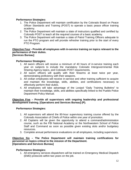## **Performance Strategies:**

- 1. The Police Department will maintain certification by the Colorado Board on Peace Officer Standards and Training (POST) to operate a basic peace officer training academy.
- 2. The Police Department will maintain a slate of instructors qualified and certified by Colorado POST to teach all the required courses of a basic academy.
- 3. The Police Department will maintain a slate of Patrol Training Officers adequate to run the PTO program and will provide refresher training prior to the start of every PTO Program.

#### **Objective Four - Provide all employees with in-service training on topics relevant to the performance of their duties. [Services Bureau]**

## **Performance Strategies:**

- 1. All sworn officers will receive a minimum of 40 hours of in-service training each year on subjects to include the mandatory Colorado Intergovernmental Risk Sharing Agency topics, and Colorado POST requirements.
- 2. All sworn officers will qualify with their firearms at least twice per year, demonstrating proficiency with their weapons.
- 3. All civilian employees will receive in-service and other training sufficient to acquire and maintain the knowledge, skills, abilities, and certifications necessary to effectively perform their duties.
- 4. All employees will take advantage of the Lexipol "Daily Training Bulletins" to maintain their knowledge, skills, and abilities specifically linked to the Pueblo Police Department Policy Manual.

## **Objective Five – Provide all supervisors with ongoing leadership and professional development training. [Operations and Services Bureau] (P).**

## **Performance Strategies:**

- 1. All supervisors will attend the 80-hour supervisory training course offered by the Colorado Association of Chiefs of Police within one year of promotion.
- 2. All Captains will be given the opportunity to attend a command/administration course, such as the FBI National Academy or the Northwestern School of Police Staff and Command as soon as possible given existing slots and/or budgetary resources.
- 3. Complete annual performance evaluations on all employees, including supervisors.

## **Objective Six – The Police Department will maintain training certifications for personnel on topics critical to the mission of the Department. [Operations and Services Bureau]**

## **Performance Strategies:**

1. All emergency services dispatchers will be trained on Emergency Medical Dispatch (EMD) protocols within two years on the job.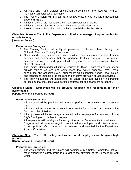- 2. All Patrol and Traffic Division officers will be certified on the intoxilyzer and will maintain such certification annually.
- 3. The Traffic Division will maintain at least two officers who are Drug Recognition Experts (DRE's).
- 4. All designated Crisis Negotiators will maintain certification status.
- 5. All designated Explosives Experts will maintain certification status.
- 6. SWAT team members shall maintain levels established by the NTOA.

## **Objective Seven – The Police Department will take advantage of opportunities for outside training.**

## **[Services Bureau]**

## **Performance Strategies:**

- 1. The Training Section will notify all personnel of classes offered through the Colorado Mountain Training Foundation.
- 2. Officers and employees are authorized to initiate requests to attend outside training courses and conferences that are pertinent to their assignments or career development interests and approval will be given as deemed appropriate by the chain of command.
- 3. The Tactical Commander will initiate requests for SWAT Team members to attend outside training courses and conferences that would enhance SWAT team capabilities and acquaint SWAT supervisors with changing trends, legal issues, and techniques impacting the efficient and effective provision of tactical services.
- 4. The Training Section will incorporate the usage of an approved on-line training curriculum, that includes POST certified courses, for all department personnel.

## **Objective Eight – Employees will be provided feedback and recognition for their performance.**

## **[Operations and Services Bureau]**

## **Performance Strategies:**

- 1. All personnel will be provided with a written performance evaluation on an annual basis.
- 2. All personnel are authorized to submit requests for formal letters of commendation from the Chief of Police.
- 3. All employees will be encouraged to submit fellow employees for recognition in the City's Employee of the Month program.
- 4. All employees will be eligible for recognition in the Department's Annual Awards Program and will be encouraged to submit fellow employees and citizen's names for recognition. Candidates will be reviewed and selected by the Department Awards Committee.

## **Objective Nine – The health, safety, and welfare of all employees will be given high priority.**

## **[Operations and Services Bureau]**

## **Performance Strategies:**

1. The Administration and the Unions will participate in a Safety Committee that will meet whenever a safety issue is brought to the attention of the Services Bureau Chief.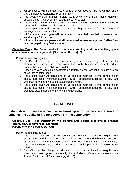- 2. All employees will be made aware of and encouraged to take advantage of the City's Employee Assistance Program (EAP).
- 3. The Department will maintain a clean work environment in the Pueblo Municipal Justice Center by providing an adequate janitorial staff.
- 4. The Department will maintain a clean and well-equipped workout facility and locker rooms in the Pueblo Municipal Justice Center.
- 5. The Department will continue to have a Chaplain Corps for the benefit of employees and their families.
- 6. All Department employees will be required to wear their seat belts whenever they are driving a City vehicle.
- 7. All sworn Department personnel will be required to wear an approved Ballistic Vest when engaged in any field activities.

## **Objective Ten – The Department will complete a staffing study to effectively place officers in accurate assignments [Operations Bureau] (P)**

## **Performance Strategies:**

- 1. The Department will perform a staffing study at least once per year to ensure the effective and efficient use of manpower. Preferably, this can be accomplished just prior to the next year's shift sign up (P).
- 2. These analyses should be completed quarterly so that seasonal fluctuations are taken into consideration.
- 3. The staffing study will utilize one of five common methods: crime trends, a percapita approach, minimum-staffing levels, authorized/budgeted levels, and workload based models to make staffing decisions.
- 4. The staffing study will utilize one of five common methods: crime trends, a percapita approach, minimum-staffing levels, authorized/budgeted levels, and workload based models to make staffing decisions.

## **GOAL TWO**

## **Establish and maintain a positive relationship with the people we serve to enhance the quality of life for everyone in the community.**

**Objective One – The Department will promote and expand programs to enhance community/Department collaboration. [Operations and Services Bureau]**

- 1. The Crime Prevention Unit will identify and maintain a listing of neighborhood associations and homeowners' groups in a Department database to ensure a constant flow of communications between the Department and the Community (C).
- 2. The Crime Prevention Unit will continue to be an active partner in the Senior Safety Triad.
- 3. The Chief or his designee will attend the monthly Eastside Neighborhood Association meetings and the monthly Human Relations Commission meetings, the Pueblo Continuum of Care meetings, etc. (C).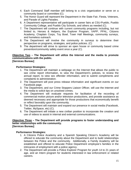- 4. Each Command Staff member will belong to a civic organization or serve on a community board or committee (C).
- 5. The Honor Guard will represent the Department in the State Fair, Fiesta, Veterans, and Parade of Lights Parades.
- 6. A Department representative will participate in career fairs at CSU-Pueblo, Pueblo Community College, and Pueblo City Schools, and others as needed (C).
- 7. The Department will continue with current community programs including, but not limited to, Heroes & Helpers, the Explorer Program, VAPP, PPAL, Citizens Academy, Chaplain Corps, Toy Bowl, Town Hall Meetings, community surveys, and homeless outreach.
- 8. The Department will involve the community in surveys to determine their perspective on programs, strategies, and police policies. (C)
- 9. The department will strive to sponsor an open house or community based crime prevention/community safety event once a year (C).

## **Objective Two – The Department will utilize the Internet and the media to promote communications with the public. [Services Bureau]**

## **Performance Strategies:**

- 1. The Department will maintain a webpage on the Internet that allows the public to see crime report information, to view the Department's policies, to review the annual report, to view sex offender information, and to submit compliments and complaints to administration.
- 2. The Department will post press release information and significant events on our Facebook page.
- 3. The Department, and our Crime Stoppers Liaison Officer, will use the Internet and the media to solicit tips on unsolved crimes.
- 4. The Department will evaluate requests for facilitation of the recording of commercial motion picture and/or television productions, and provide assistance as deemed necessary and appropriate for those productions that economically benefit or reflect favorably upon the community.
- 5. The Department will maintain and expand our presence in social media (Facebook, Twitter, MySpace, etc) (C).
- 6. The Department will initiate a new civilian position to incorporate the creation and use of videos to assist in internal and external communications.

## **Objective Three – The Department will provide programs to foster understanding and better relationships with the community. [Services Bureau]**

- 1. A Citizens Police Academy and a Spanish Speaking Citizen's Academy will be offered to educate the community about the Department and to build relationships between the Police and the community. Additionally, a Family Academy will be established and offered to educate Police Department employee's families in the intricacies of employment with a police agency.
- 2. The Department will provide a Police Explorer Program for youth 14 to 21 years of age, and an Intern program for students interested in law enforcement or related careers.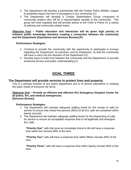- 3. The Department will develop a partnership with the Pueblo Police Athletic League to positively impact the lives of youngsters in our community (C).
- 4. The Department will develop a Civilian Stakeholders Group composed of community leaders who will be a representative sample of the community. This group will meet regularly and will provide advice to the Chief of Police on a variety of policing and community related topics.

**Objective Four – Public education and interaction will be given high priority to enhance public knowledge therefore creating a connection between the community and the Department [Operations and Services Bureau] (P)**

## **Performance Strategies:**

- 1. Continue to provide the community with the opportunity to participate in surveys regarding the Department, its practices, and its employees, so that the community will have a voice into the direction of the Department (C).
- 2. Develop ways to build trust between the community and the Department, to provide enhanced service and public understanding (C).

## **GOAL THREE**

## **The Department will provide services to protect lives and property.**

This is a primary function of any police department and is of utmost importance in meeting the basic needs of everyone we serve.

#### **Objective One – Provide an efficient and effective 911 Emergency Dispatch Center for all police, fire, and medical emergencies. [Services Bureau]**

## **Performance Strategies:**

- 1. The Department will maintain adequate staffing levels for the receipt of calls for service to ensure that ninety-five percent (95%) of all 911 calls are answered within twenty seconds.
- 2. The Department will maintain adequate staffing levels for the dispatching of calls for service to ensure an acceptable response time to all legitimate and emergent 911 calls.

**"Priority One"** calls that pose an immediate threat to life will have a response time within five minutes 90% of the time.

**"Priority Two"** calls will have a response time within fifteen minutes 90% of the time.

**"Priority Three"** calls will have a response time within twenty minutes 90% of the time.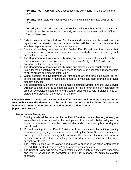**"Priority Four"** calls will have a response time within forty minutes 90% of the time.

**"Priority Five"** calls will have a response time within fifty minutes 90% of the time.

**"Priority Six"** calls will have a response time within one hour 90% of the time or the citizen will be contacted to potentially set up an appointment with an Officer, Clerk or Volunteer.

- 3. Calls for service will be prioritized for differential dispatching that is based upon the urgency of the situation and an annual review will be conducted to determine whether response times to calls are acceptable.
- 4. Provide dispatching services to the Pueblo Fire Department that meets their expectations and review such services on a quarterly basis, in keeping with accreditation standards.
- 5. The Department will work towards building and maintaining staffing levels for the receipt of calls for service to ensure that ninety-five (95%) of all 911 calls are answered within twenty seconds.
- 6. The Department will work towards building and maintaining adequate staffing levels for the dispatching of calls for service to ensure an acceptable response time to all legitimate and emergent 911 calls.
- 7. When possible, the Department will hire temporary/part-time employees as call takers and dispatchers in sufficient numbers to maintain staff strength to provide dispatch services.
- 8. The Department will work with the Human Resources Director and the Civil Service Director to ensure that a certified list exists for the prompt filling of vacancies for emergency services dispatchers and dispatch supervisors. Civil Services rules will dictate the protocol for the creation of the lists.

## **Objective Two – The Patrol Division and Traffic Divisions will be adequately staffed to reasonably meet the demands of the public for response to incidents that pose an immediate threat to life or property, and to ensure officer safety. [Operations Bureau]**

- 1. Staffing levels will be reviewed by the Patrol Division commanders on, at least, an annual basis to assess whether the deployment of personnel is balanced, given the available resources to meet the projected demands for service by hour of day and day of week.
- 2. Minimal staffing in the Patrol Division will be maintained by shifting staffing resources or by paying overtime as determined by the Patrol Division commanders on a per shift basis taking into account the various factors that warrant consideration in this decision-making, such as day of week, season of the year, special events, etc.
- 3. The Traffic Section will be staffed adequately to engage in selective enforcement (speed, DUI, seatbelt safety, etc.) and traffic safety campaigns.
- 4. The Chief of Police will project sworn staffing levels in light of anticipated vacancies and will fill vacancies as permitted by the City Manager to minimize staffing shortfalls.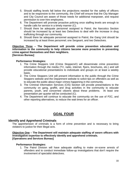- 5. Should staffing levels fall below the projections needed for the safety of officers and to be responsive to the community, the Chief will ensure that the City Manager and City Council are aware of those needs for additional manpower, and request permission to over-hire employees.
- 6. The Department will promote proactive policing once staffing levels are enough to handle calls for service in a timely manner (C).
- 7. Should there be adequate personnel assigned to Patrol, the Narcotics Section should be increased by at least two Detectives to deal with the increase in drug trafficking through our community.
- 8. Should there be adequate personnel assigned to Patrol, the Gang Unit should be increased by at least three personnel; one Sergeant, and two Detectives.

## **Objective Three – The Department will provide crime prevention education and information to the community to help citizens become more proactive in preventing crime against themselves and their neighbors. [Services Bureau]**

## **Performance Strategies:**

- 1. The Crime Stoppers Unit (Crime Stoppers©) will disseminate crime prevention information through the media (TV, radio, internet, flyers, brochures, etc.) and will provide educational presentations to individuals and groups on at least a weekly basis.
- 2. The Crime Stoppers Unit will present information to the public through the Crime Stoppers website and the Department website to solicit tips on offenders as well as to educate the public about major crimes happening in the community.
- 3. The Criminal Information Services (CIS) Section will provide presentations to the community on gang, graffiti, and drug activities in the community to educate parents, youth, and concerned citizens about these problems. At least one presentation per quarter will be conducted (C).
- 4. The Department will continue to educate the community on the use of P2C, and other reporting alternatives, to reduce the wait times for an officer.

## **GOAL FOUR**

## **Identify and Apprehend Criminals**

The apprehension of criminals is a form of crime prevention and is necessary to bring violators to justice for their illegal acts.

## **Objective One – The Department will maintain adequate staffing of sworn officers with investigative expertise to effectively identify and apprehend criminals. [Operations and Services Bureau]**

## **Performance Strategies:**

1. The Patrol Division will have adequate staffing to make on-scene arrests of offenders and to conduct immediate follow-up investigations that don't require the involvement of specialist detectives.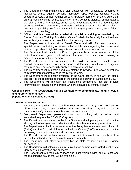- 2. The Department will maintain and staff detectives with specialized expertise to investigate crimes against persons (homicide, rape, robbery, assaults, violent sexual predators), crimes against property (burglary, larceny, ID theft, auto theft, arson,), special victims (crimes against children, domestic violence, crimes against the elderly and at-risk adults), crime scene investigations (criminal identification services, evidence processing, laboratory services), vice/narcotics (drugs, liquor, prostitution, gambling, etc.) and active criminals (gang enforcement, serial felons, crimes against society).
- 3. Officers and detectives will be provided with specialized training as provided by the Central Mountain Training Foundation (State funded), by Federally funded entities, and as budgetary resources permit for other training courses.
- 4. The Department will maintain a SWAT Team and will offer team members specialized tactical training on at least a bi-monthly basis regarding techniques and tactics to apprehend high-risk suspects and conduct related operations.
- 5. The Department will maintain a Crisis Negotiation Team as a component of the tactical operations group, and will offer team members specialized training in disciplines relative to their mission.
- 6. The Department will review a minimum of five cold cases (murder, forcible sexual assault, or related major cases) per year to determine if additional investigative resources could be successfully applied to achieve a solution.
- 7. The Department will maintain adequate staffing to provide undercover operations to interdict narcotics trafficking in the City of Pueblo.
- 8. The Department will maintain oversight of the Gang activity in the City of Pueblo and provide the resources to interdict the spread and growth of gangs in the City.
- 9. The Department will maintain an Intelligence component that can provide information on individuals and groups who are engaged in criminal activity.

## **Objective Two – The Department will use technology to communicate, identify, locate, and apprehend criminals.**

## **[Operations and Services Bureau]**

- 1. The Department will continue to utilize Body Worn Cameras (C) to record policecitizen interactions; to record evidence that can be used in Court; and to maintain transparency (C) between the police and the community.
- 2. Designated Department personnel, sworn and civilian, will be trained and authorized to query the CCIC/NCIC system.
- 3. The Department has access to the LinX System and will participate in information sharing with other agencies to identify and locate offenders for apprehension.
- 4. The Department will utilize the services of the Rocky Mountain Information Network (RMIN) and the Colorado Information Analysis Center (CIAC) to share information pertaining to wanted criminals and criminal activities.
- 5. The Department will continue to release two wanted criminal photos each week to impact the network of serial criminals in our community.
- 6. The Department will strive to deploy license plate readers on Patrol Division cruisers daily.
- 7. The Department will selectively utilize surveillance cameras at targeted locations to identify criminal activities and suspects.
- 8. The Department will maintain at least one night vision device and at least one thermal imaging device that will be available 24/7.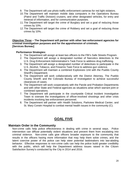- 9. The Department will use photo traffic enforcement cameras for red light violators.
- 10.The Department will maintain mobile data computers in the Operations Bureau (Patrol and Traffic Division) cruisers, and other designated vehicles, for entry and retrieval of information, and for communication purposes.
- 11.The Department will target the crime of Burglary and set a goal of reducing those crimes by 10%.
- 12.The Department will target the crime of Robbery and set a goal of reducing those crimes by 10%.

## **Objective Three – The Department will partner with other law enforcement agencies for criminal investigation purposes and for the apprehension of criminals. [Services Bureau]**

## **Performance Strategies:**

- 1. The Department will assign at least two officers to the FBI's Safe Streets Program.
- 2. The Department will assign a designated number of Narcotics detectives to the U.S. Drug Enforcement Administration's Task Force to address drug trafficking.
- 3. The Department will assign a designated number of detectives to participate in the U.S. Alcohol, Tobacco, and Firearms Task Force to address gun violence.
- 4. The Department will maintain a combined Explosives Unit with the Pueblo County Sheriff's Department.
- 5. The Department will work collaboratively with the District Attorney, The Pueblo County Sheriff, and the Colorado Bureau of Investigation to achieve successful clearances of cases.
- 6. The Department will work cooperatively with the Parole and Probation Departments and with other State and Federal agencies as situations arise which warrant joint or combined operations.
- 7. The Department will participate in the countywide Critical Incident Investigative Team to oversee the investigations of officer-involved shootings and other crisis incidents involving law enforcement personnel.
- 8. The Department will partner with Health Solutions, Parkview Medical Center, and St. Mary Corwin Hospital to combat mental health issues in the community (C).

## **GOAL FIVE**

## **Maintain Order in the Community**

Non-crime calls help police effectiveness in dealing with crime in several ways. Police intervention can diffuse potentially violent situations and prevent them from escalating into criminal violence. Non-crime calls give officers broader exposure to the community that results in the officers having more information that may help them solve crimes, and the latent coercive power of the police can help steer potential lawbreakers into law-abiding behavior. Effective responses to non-crime calls can help the police build greater credibility with the public, which will help the Department address issues raised in the Citizen Satisfaction Survey's conducted by the City in 2014 and 2016.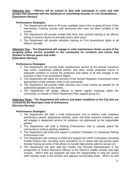## **Objective One – Officers will be trained to deal with individuals in crisis and with groups that assemble with the likelihood of committing disorder or civil disobedience. [Operations Bureau]**

## **Performance Strategies:**

- 1. The Department will strive to fill every available seat in the on-going 40-hour Crisis Intervention Training courses with personnel who have not been certified in the course.
- 2. The Department will provide mobile field force (riot control) training to all officers during in-service classes bi-annually (every other year).
- 3. The Department will provide refresher training on First Amendment rights to all officers annually.

**Objective Two – The Department will engage in order maintenance duties as part of the on-going police service provided to the community for incidents and events that threaten to disrupt peace and order.**

## **[Operations Bureau]**

## **Performance Strategies:**

- 1. The Department will provide order maintenance service at the annual Columbus Day event, contentious political events, and other similar protested events in adequate numbers to ensure the protection and safety of all who engage in the exercise of their First Amendment Rights.
- 2. The Department will utilize the services of the Human Relations Commission when appropriate to help maintain order in the community.
- 3. The Department will provide traffic direction and crowd control as needed for all authorized parades on City streets.
- 4. The Department will assign officers to attend regular meetings within the community, to include a Police Department Peer support group (C).

## **Objective Three – The Department will enforce and abate conditions in the City that are covered by the Municipal Code of Ordinances. [Services Bureau]**

- 1. The Department will staff a Code Enforcement Unit to enforce code violations pertaining to weeds, abandoned vehicles, trash, and other nuisance violations, and will engage in abatement actions for violations not addressed by the responsible parties.
- 2. The Department will staff a Parking Enforcement Unit to actively patrol the community to enforce parking violations.
- 3. The Department will enlist and support a Citizens' Volunteer (C) Handicap Parking Enforcement Unit.
- 4. The Department will continue to enlist and support the VAPP (Volunteers Assisting Pueblo Police) Unit, recruiting more volunteers (C) to assist with low-priority tasks thereby freeing up some of the officers to handle high-priority calls for service (C)
- 5. The Department will work with the Pueblo City Schools Administration in the assignment of School Resource Officers to the District's middle schools and high schools. SRO's that are assigned will have the responsibility to help the school staff maintain order in the schools and adjacent surrounding areas. SRO's as well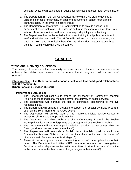as Patrol Officers will participate in additional activities that occur after school hours (C).

- 6. The Department (SRO's) will work collaboratively with D-60 staff to develop a uniform color code for schools, to label and document all school floor plans to enhance safety in the event an active threat.
- 7. The Department will work with D-60 Administration to provide access to all department personnel to all D-60 buildings so that in the event of an incident, both school officials and officers will be able to respond quickly and effectively.
- 8. The Department has implemented active threat training to all police department staff and to D-60 personnel. The SRO's will continue that training on an ongoing basis. In 2017, and periodically thereafter, we will conduct practical active threat training in conjunction with D-60 personnel.

## **GOAL SIX**

## **Professional Delivery of Services**

The delivery of services to the community for non-crime and disorder purposes serves to enhance the relationships between the police and the citizenry and builds a sense of goodwill.

## **Objective One – The Department will engage in activities that build good relationships with the community.**

## **[Operations and Services Bureau]**

- 1. The Department will continue to embed the philosophy of Community Oriented Policing as the foundational methodology for the delivery of police services.
- 2. The Department will increase the use of differential dispatching to improve response times.
- 3. The Department will engage in activities to support the Special Olympics Program, such as the Torch Run and Tip-A-Cop events.
- 4. The Department will provide tours of the Pueblo Municipal Justice Center to interested citizens and groups as is feasible.
- 5. The Department will allow public use of the Community Room in the Pueblo Municipal Justice Center for legitimate use as approved by the Chief of Police.
- 6. The Department will engage in public relations activities as resources allow, to foster good relations with the community (C).
- 7. The Department will establish a Social Media Specialist position within the Community Services Division that will facilitate the creation and distribution of videos as part of our social media strategy (C).
- 8. There will be an emphasis placed on keeping victims of crime updated as to their case. The Department will utilize VAPP personnel to assist our Investigations Division to make telephone contact with the victims of crime to update information in the case, or to make them aware of any changes in their case (C).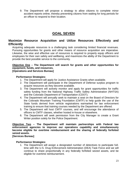9. The Department will propose a strategy to allow citizens to complete minor accident reports online, thereby preventing citizens from waiting for long periods for an officer to respond to their location.

## **GOAL SEVEN**

## **Maximize Resource Acquisition and Utilize Resources Effectively and Efficiently**

Acquiring adequate resources is a challenging task considering limited financial revenues. Pursuing opportunities for grants and other means of resource acquisition are imperative. Likewise, the wise and effective use of resources is required to properly equip officers and employees for their own safety and wellbeing, and maximizes the ability of the Department to provide the best possible service to the community.

## **Objective One – The Department will search for grants and other opportunities for equipment, funds, and resources.**

## **[Operations and Services Bureau]**

## **Performance Strategies:**

- 1. The Department will apply for Justice Assistance Grants when available.
- 2. The Department will participate in the Department of Defense surplus program to acquire resources as they become available.
- 3. The Department will actively monitor and apply for grant opportunities for traffic safety funding from the National Highway Traffic Safety Administration (NHTSA) and the Colorado Department of Transportation (CDOT).
- 4. The Department will annually seek to maintain a seat on the Board of Directors for the Colorado Mountain Training Foundation (CMTF) to help guide the use of the State funds derived from vehicle registrations earmarked for law enforcement training to ensure that training courses needed by the Department are offered.
- 5. The Department will host CMTF courses, and will encourage the attendance of officers to CMTF classes, whether hosted in-house or elsewhere.
- 6. The Department will seek permission from the City Manager to create a Grant Writer position solely for the Police Department.

**Objective Two – The Department will maintain partnerships with Federal law enforcement agencies to improve our operations capability and simultaneously become eligible for overtime reimbursement and the sharing of federally forfeited seized assets.**

## **[Services Bureau]**

## **Performance Strategies:**

1. The Department will assign a designated number of detectives to participate fulltime with the U.S. Drug Enforcement Administration (DEA) Task Force and we will continue to share proportionally in any federally forfeited seized assets, and be eligible for overtime reimbursement.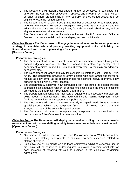- 2. The Department will assign a designated number of detectives to participate fulltime with the U.S. Bureau of Alcohol, Tobacco, and Firearms (ATF) and we will continue to share proportionally in any federally forfeited seized assets, and be eligible for overtime reimbursement.
- 3. The Department will assign a designated number of detectives to participate parttime with the Federal Bureau of Investigation (FBI) Safe Streets program and we will continue to share proportionally in any federally forfeited seized assets, and be eligible for overtime reimbursement.
- 4. The Department will continue the collaboration with the U.S. Attorney's Office in Denver to prosecute serial criminals and gang involved individuals.

#### **Objective Three – The Department will engage in an equipment replacement plan as a strategy to maintain safe and properly working equipment while minimizing the financial impact from occurring in a single fiscal year. [Services Bureau]**

## **Performance Strategies:**

- 1. The Department will strive to create a vehicle replacement program through the annual budgetary process. The objective would be to replace a percentage of all department vehicles (marked or unmarked) every year to maintain an adequate fleet of vehicles.
- 2. The Department will apply annually for available Bulletproof Vest Program (BVP) funds. The Department provides all sworn officers with body armor and strives to replace all body armor at the recommended replacement interval (currently body armor is certified with a 5-year lifespan).
- 3. The Department will apply for new computers every year during the budget process to maintain an adequate rotation of computers based upon life-cycle projections provided by the Information Technology Department.
- 4. The Department will conduct an inventory of equipment as necessary to project ongoing needs for replacement. The audit will include training equipment, office furniture, ammunition and weaponry, and police radios.
- 5. The Department will conduct a review annually of capital needs items to include special purpose vehicles and equipment (SWAT Truck, Bomb Truck, Command Post, etc.) as part of the annual budgeted process.
- 6. The Department will attempt to replace any equipment that has expired or is beyond the shelf life of the item in a timely fashion.

## **Objective Four – The Department will deploy personnel according to an annual needs assessment and will review staffing monthly to assure a proper balance is maintained. [Operations Bureau]**

- 1. Overtime costs will be monitored for each Division and Patrol Watch and will be factored into staffing deployments to minimize overtime expenses related to staffing shortages.
- 2. Sick leave use will be monitored and those employees exhibiting excessive use of sick leave will be counseled and/or required to provide a medical certificate for each instance of reporting off sick as outlined in the collective bargaining agreements.